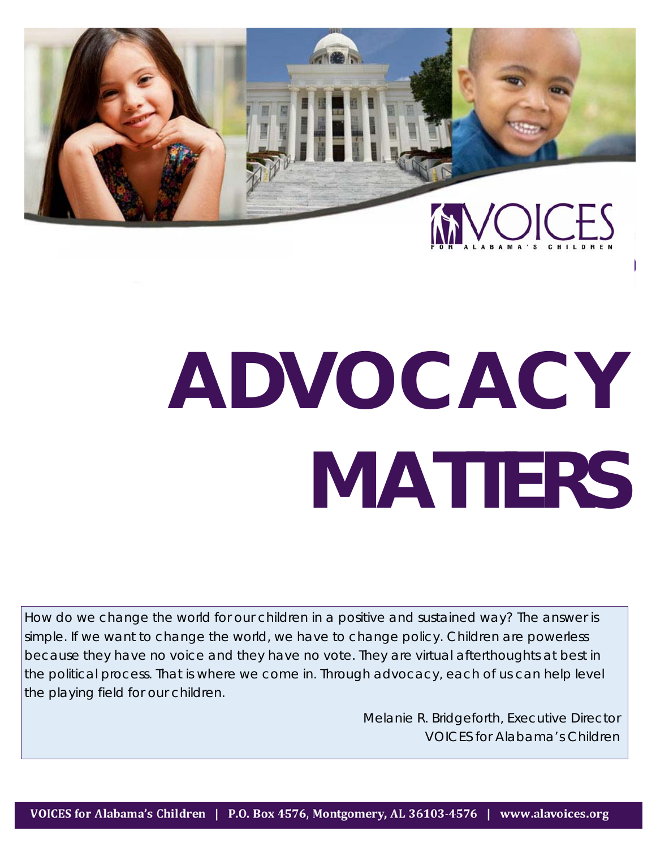

# **ADVOCACY MATTERS**

How do we change the world for our children in a positive and sustained way? The answer is simple. If we want to change the world, we have to change policy. Children are powerless because they have no voice and they have no vote. They are virtual afterthoughts at best in the political process. That is where we come in. Through advocacy, each of us can help level the playing field for our children.

> Melanie R. Bridgeforth, Executive Director VOICES for Alabama's Children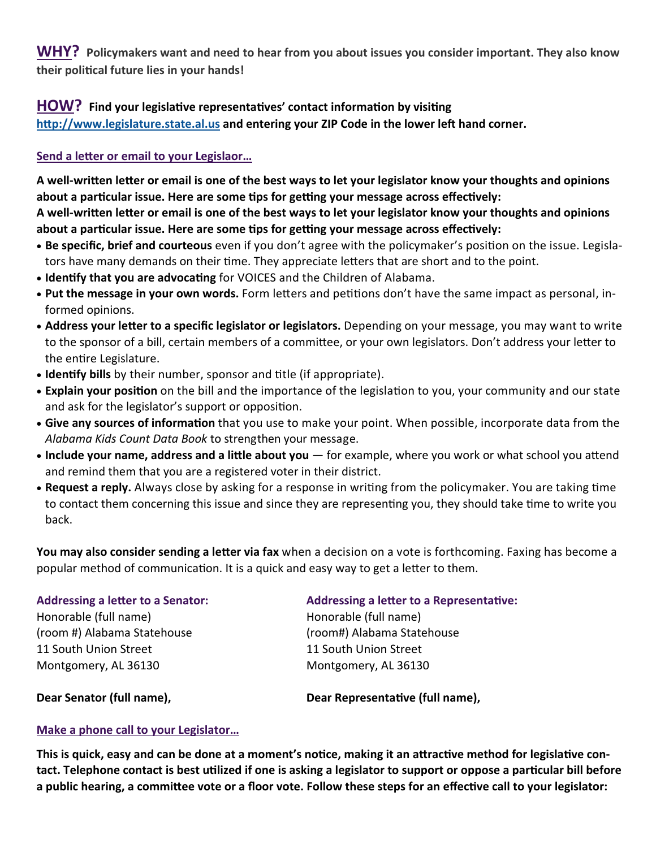**WHY? Policymakers want and need to hear from you about issues you consider important. They also know their poliƟcal future lies in your hands!** 

# **HOW?** Find your legislative representatives' contact information by visiting

http://www.legislature.state.al.us and entering your ZIP Code in the lower left hand corner.

# **Send a leƩer or email to your Legislaor…**

**A well‐wriƩen leƩer or email is one of the best ways to let your legislator know your thoughts and opinions about a parƟcular issue. Here are some Ɵps for geƫng your message across effecƟvely: A well‐wriƩen leƩer or email is one of the best ways to let your legislator know your thoughts and opinions** 

**about a parƟcular issue. Here are some Ɵps for geƫng your message across effecƟvely:** 

- **Be specific, brief and courteous** even if you don't agree with the policymaker's position on the issue. Legislators have many demands on their time. They appreciate letters that are short and to the point.
- **Identify that you are advocating** for VOICES and the Children of Alabama.
- Put the message in your own words. Form letters and petitions don't have the same impact as personal, informed opinions.
- **Address your leƩer to a specific legislator or legislators.** Depending on your message, you may want to write to the sponsor of a bill, certain members of a committee, or your own legislators. Don't address your letter to the entire Legislature.
- **Identify bills** by their number, sponsor and title (if appropriate).
- Explain your position on the bill and the importance of the legislation to you, your community and our state and ask for the legislator's support or opposition.
- **Give any sources of information** that you use to make your point. When possible, incorporate data from the *Alabama Kids Count Data Book* to strengthen your message.
- Include your name, address and a little about you for example, where you work or what school you attend and remind them that you are a registered voter in their district.
- Request a reply. Always close by asking for a response in writing from the policymaker. You are taking time to contact them concerning this issue and since they are representing you, they should take time to write you back.

**You may also consider sending a letter via fax** when a decision on a vote is forthcoming. Faxing has become a popular method of communication. It is a quick and easy way to get a letter to them.

| <b>Addressing a letter to a Senator:</b> | <b>Addressing a letter to a Representative:</b> |
|------------------------------------------|-------------------------------------------------|
| Honorable (full name)                    | Honorable (full name)                           |
| (room #) Alabama Statehouse              | (room#) Alabama Statehouse                      |
| 11 South Union Street                    | 11 South Union Street                           |
| Montgomery, AL 36130                     | Montgomery, AL 36130                            |
|                                          |                                                 |

**Dear Senator (full name), Dear Representative (full name),** 

# **Make a phone call to your Legislator…**

**This is quick, easy and can be done at a moment's noƟce, making it an aƩracƟve method for legislaƟve con‐ tact. Telephone contact is best uƟlized if one is asking a legislator to support or oppose a parƟcular bill before**  a public hearing, a committee vote or a floor vote. Follow these steps for an effective call to your legislator: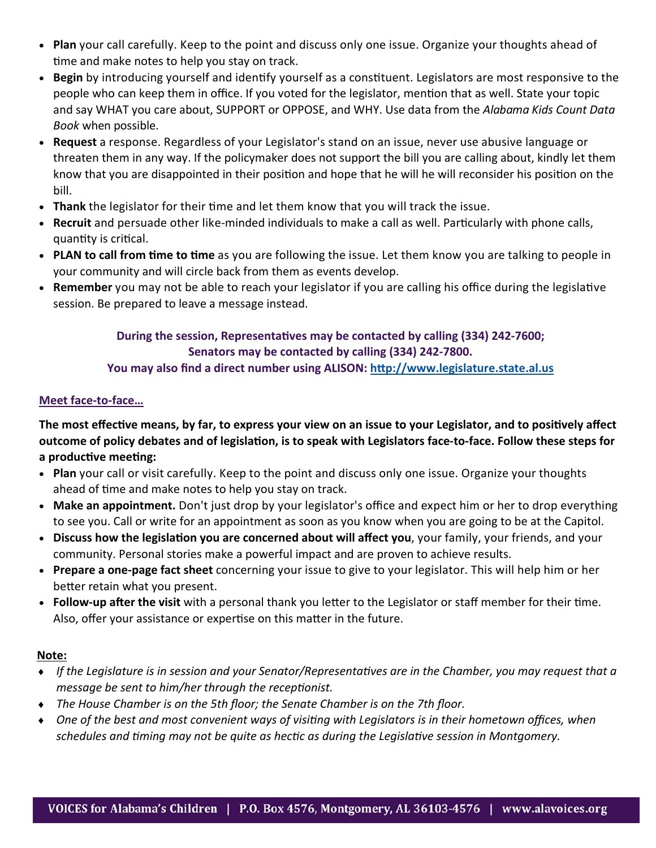- **Plan** your call carefully. Keep to the point and discuss only one issue. Organize your thoughts ahead of time and make notes to help you stay on track.
- Begin by introducing yourself and identify yourself as a constituent. Legislators are most responsive to the people who can keep them in office. If you voted for the legislator, mention that as well. State your topic and say WHAT you care about, SUPPORT or OPPOSE, and WHY. Use data from the *Alabama Kids Count Data Book* when possible.
- **Request** a response. Regardless of your Legislator's stand on an issue, never use abusive language or threaten them in any way. If the policymaker does not support the bill you are calling about, kindly let them know that you are disappointed in their position and hope that he will he will reconsider his position on the bill.
- **Thank** the legislator for their time and let them know that you will track the issue.
- **Recruit** and persuade other like-minded individuals to make a call as well. Particularly with phone calls, quantity is critical.
- **PLAN to call from time to time** as you are following the issue. Let them know you are talking to people in your community and will circle back from them as events develop.
- **Remember** you may not be able to reach your legislator if you are calling his office during the legislative session. Be prepared to leave a message instead.

# **During the session, Representatives may be contacted by calling (334) 242-7600; Senators may be contacted by calling (334) 242‐7800.**

# **You may also find a direct number using ALISON: hƩp://www.legislature.state.al.us**

# **Meet face‐to‐face…**

**The most effecƟve means, by far, to express your view on an issue to your Legislator, and to posiƟvely affect outcome of policy debates and of legislaƟon, is to speak with Legislators face‐to‐face. Follow these steps for a producƟve meeƟng:** 

- **Plan** your call or visit carefully. Keep to the point and discuss only one issue. Organize your thoughts ahead of time and make notes to help you stay on track.
- **Make an appointment.** Don't just drop by your legislator's office and expect him or her to drop everything to see you. Call or write for an appointment as soon as you know when you are going to be at the Capitol.
- **Discuss how the legislation you are concerned about will affect you, your family, your friends, and your** community. Personal stories make a powerful impact and are proven to achieve results.
- **Prepare a one‐page fact sheet** concerning your issue to give to your legislator. This will help him or her better retain what you present.
- **Follow-up after the visit** with a personal thank you letter to the Legislator or staff member for their time. Also, offer your assistance or expertise on this matter in the future.

## **Note:**

- ◆ If the Legislature is in session and your Senator/Representatives are in the Chamber, you may request that a *message be sent to him/her through the receptionist.*
- *The House Chamber is on the 5th floor; the Senate Chamber is on the 7th floor.*
- ◆ One of the best and most convenient ways of visiting with Legislators is in their hometown offices, when *schedules and Ɵming may not be quite as hecƟc as during the LegislaƟve session in Montgomery.*